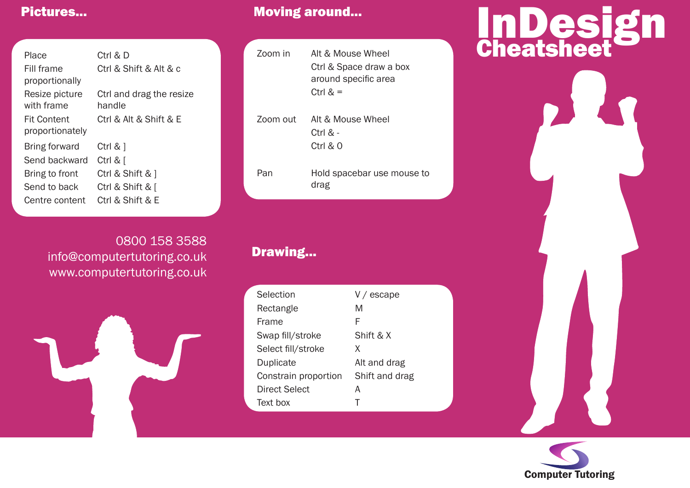| Place              | Ctrl & D                 |
|--------------------|--------------------------|
| Fill frame         | Ctrl & Shift & Alt & c   |
| proportionally     |                          |
| Resize picture     | Ctrl and drag the resize |
| with frame         | handle                   |
| <b>Fit Content</b> | Ctrl & Alt & Shift & E   |
| proportionately    |                          |
| Bring forward      | Ctrl & 1                 |
| Send backward      | Ctrl & [                 |
| Bring to front     | Ctrl & Shift & 1         |
| Send to back       | Ctrl & Shift & [         |
| Centre content     | Ctrl & Shift & E         |
|                    |                          |

0800 158 3588 info@computertutoring.co.uk www.computertutoring.co.uk



# Pictures... **Moving around... Pictures...** Moving around...

| Zoom in  | Alt & Mouse Wheel<br>Ctrl & Space draw a box<br>around specific area<br>Ctrl $\&$ = |
|----------|-------------------------------------------------------------------------------------|
| Zoom out | Alt & Mouse Wheel<br>Ctrl & -<br>Ctrl & O                                           |
| Pan      | Hold spacebar use mouse to<br>drag                                                  |

# Drawing...

| Selection            | $V / e$ scape  |
|----------------------|----------------|
| Rectangle            | М              |
| Frame                | F              |
| Swap fill/stroke     | Shift & X      |
| Select fill/stroke   | X              |
| Duplicate            | Alt and drag   |
| Constrain proportion | Shift and drag |
| Direct Select        | А              |
| Text hox             | т              |

# InDesign **Cheatsheet**

Computer Tutoring